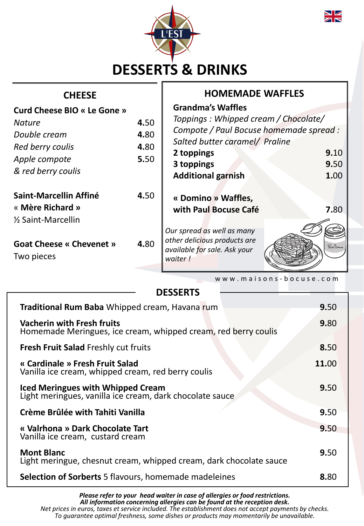



## **CHEESE HOMEMADE WAFFLES**

| <b>Curd Cheese BIO « Le Gone »</b><br><b>Nature</b><br>Double cream<br>Red berry coulis<br>Apple compote | 4.50<br>4.80<br>4.80<br>5.50 | <b>Grandma's Waffles</b><br>Toppings: Whipped cream / Chocolate/<br>Compote / Paul Bocuse homemade spread :<br>Salted butter caramel/ Praline<br>2 toppings | 9.10               |
|----------------------------------------------------------------------------------------------------------|------------------------------|-------------------------------------------------------------------------------------------------------------------------------------------------------------|--------------------|
| & red berry coulis<br>Saint-Marcellin Affiné                                                             | 4.50                         | 3 toppings<br><b>Additional garnish</b><br>« Domino » Waffles,                                                                                              | 9.50<br>1.00       |
| « Mère Richard »<br>1/ <sub>2</sub> Saint-Marcellin<br><b>Goat Cheese « Chevenet »</b><br>Two pieces     | 4.80                         | with Paul Bocuse Café<br>Our spread as well as many<br>other delicious products are<br>available for sale. Ask your<br>waiter!                              | 7.80<br>Paul Boune |

w w w . m a i s o n s - b o c u s e . c o m

| <b>DESSERTS</b>                                                                                      |       |
|------------------------------------------------------------------------------------------------------|-------|
| Traditional Rum Baba Whipped cream, Havana rum                                                       | 9.50  |
| <b>Vacherin with Fresh fruits</b><br>Homemade Meringues, ice cream, whipped cream, red berry coulis  | 9.80  |
| Fresh Fruit Salad Freshly cut fruits                                                                 | 8.50  |
| « Cardinale » Fresh Fruit Salad<br>Vanilla ice cream, whipped cream, red berry coulis                | 11.00 |
| <b>Iced Meringues with Whipped Cream</b><br>Light meringues, vanilla ice cream, dark chocolate sauce | 9.50  |
| Crème Brûlée with Tahiti Vanilla                                                                     | 9.50  |
| « Valrhona » Dark Chocolate Tart<br>Vanilla ice cream, custard cream                                 | 9.50  |
| <b>Mont Blanc</b><br>Light meringue, chesnut cream, whipped cream, dark chocolate sauce              | 9.50  |
| <b>Selection of Sorberts</b> 5 flavours, homemade madeleines                                         | 8.80  |

*Please refer to your head waiter in case of allergies or food restrictions. All information concerning allergies can be found at the reception desk. Net prices in euros, taxes et service included. The establishment does not accept payments by checks. To guarantee optimal freshness, some dishes or products may momentarily be unavailable.*